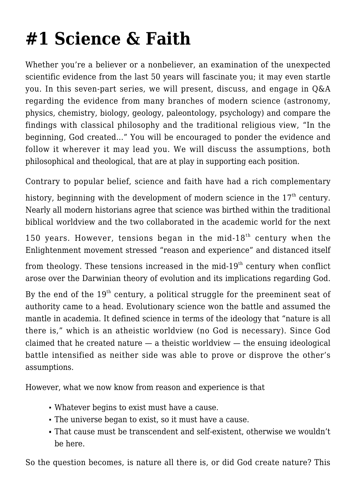## **[#1 Science & Faith](https://socratesatsaddlebrooke.club/topics/science-and-faith/)**

Whether you're a believer or a nonbeliever, an examination of the unexpected scientific evidence from the last 50 years will fascinate you; it may even startle you. In this seven-part series, we will present, discuss, and engage in Q&A regarding the evidence from many branches of modern science (astronomy, physics, chemistry, biology, geology, paleontology, psychology) and compare the findings with classical philosophy and the traditional religious view, "In the beginning, God created…" You will be encouraged to ponder the evidence and follow it wherever it may lead you. We will discuss the assumptions, both philosophical and theological, that are at play in supporting each position.

Contrary to popular belief, science and faith have had a rich complementary

history, beginning with the development of modern science in the  $17<sup>th</sup>$  century. Nearly all modern historians agree that science was birthed within the traditional biblical worldview and the two collaborated in the academic world for the next

150 years. However, tensions began in the mid-18<sup>th</sup> century when the Enlightenment movement stressed "reason and experience" and distanced itself

from theology. These tensions increased in the mid-19<sup>th</sup> century when conflict arose over the Darwinian theory of evolution and its implications regarding God.

By the end of the  $19<sup>th</sup>$  century, a political struggle for the preeminent seat of authority came to a head. Evolutionary science won the battle and assumed the mantle in academia. It defined science in terms of the ideology that "nature is all there is," which is an atheistic worldview (no God is necessary). Since God claimed that he created nature — a theistic worldview — the ensuing ideological battle intensified as neither side was able to prove or disprove the other's assumptions.

However, what we now know from reason and experience is that

- Whatever begins to exist must have a cause.
- The universe began to exist, so it must have a cause.
- That cause must be transcendent and self-existent, otherwise we wouldn't be here.

So the question becomes, is nature all there is, or did God create nature? This